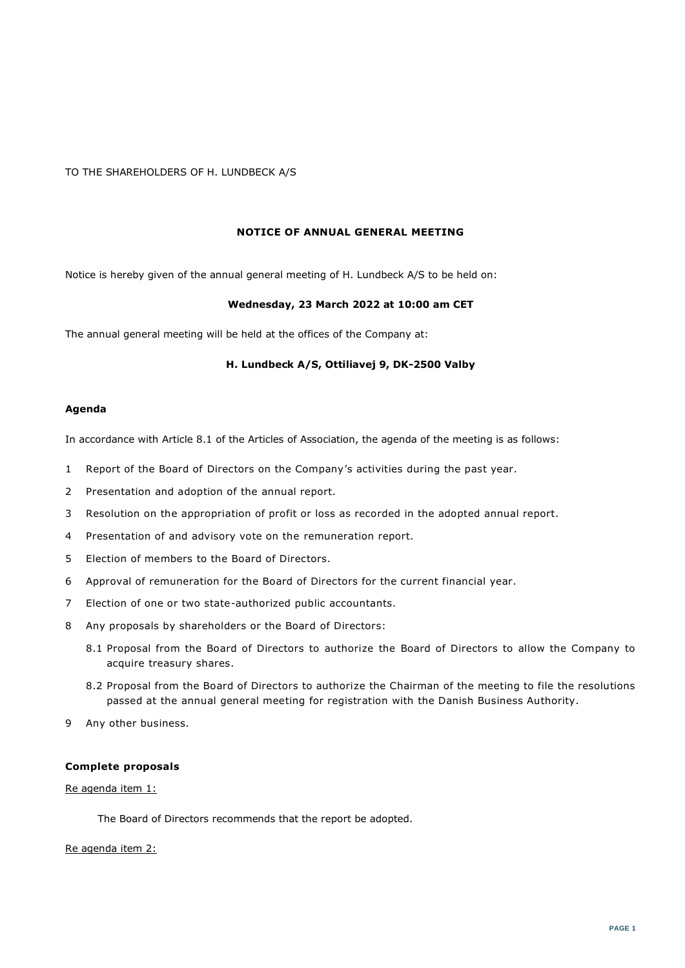# TO THE SHAREHOLDERS OF H. LUNDBECK A/S

### **NOTICE OF ANNUAL GENERAL MEETING**

Notice is hereby given of the annual general meeting of H. Lundbeck A/S to be held on:

### **Wednesday, 23 March 2022 at 10:00 am CET**

The annual general meeting will be held at the offices of the Company at:

### **H. Lundbeck A/S, Ottiliavej 9, DK-2500 Valby**

#### **Agenda**

In accordance with Article 8.1 of the Articles of Association, the agenda of the meeting is as follows:

- 1 Report of the Board of Directors on the Company's activities during the past year.
- 2 Presentation and adoption of the annual report.
- 3 Resolution on the appropriation of profit or loss as recorded in the adopted annual report.
- 4 Presentation of and advisory vote on the remuneration report.
- 5 Election of members to the Board of Directors.
- 6 Approval of remuneration for the Board of Directors for the current financial year.
- 7 Election of one or two state-authorized public accountants.
- 8 Any proposals by shareholders or the Board of Directors:
	- 8.1 Proposal from the Board of Directors to authorize the Board of Directors to allow the Company to acquire treasury shares.
	- 8.2 Proposal from the Board of Directors to authorize the Chairman of the meeting to file the resolutions passed at the annual general meeting for registration with the Danish Business Authority.
- 9 Any other business.

## **Complete proposals**

### Re agenda item 1:

The Board of Directors recommends that the report be adopted.

#### Re agenda item 2: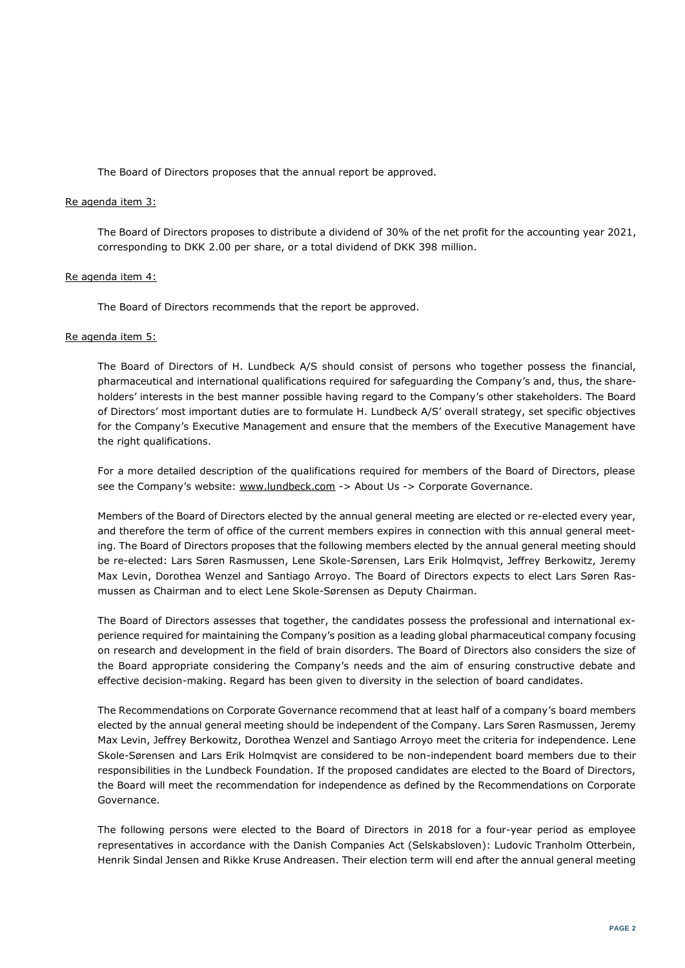The Board of Directors proposes that the annual report be approved.

### Re agenda item 3:

The Board of Directors proposes to distribute a dividend of 30% of the net profit for the accounting year 2021, corresponding to DKK 2.00 per share, or a total dividend of DKK 398 million.

### Re agenda item 4:

The Board of Directors recommends that the report be approved.

### Re agenda item 5:

The Board of Directors of H. Lundbeck A/S should consist of persons who together possess the financial, pharmaceutical and international qualifications required for safeguarding the Company's and, thus, the shareholders' interests in the best manner possible having regard to the Company's other stakeholders. The Board of Directors' most important duties are to formulate H. Lundbeck A/S' overall strategy, set specific objectives for the Company's Executive Management and ensure that the members of the Executive Management have the right qualifications.

For a more detailed description of the qualifications required for members of the Board of Directors, please see the Company's website: www.lundbeck.com -> About Us -> Corporate Governance.

Members of the Board of Directors elected by the annual general meeting are elected or re-elected every year, and therefore the term of office of the current members expires in connection with this annual general meeting. The Board of Directors proposes that the following members elected by the annual general meeting should be re-elected: Lars Søren Rasmussen, Lene Skole-Sørensen, Lars Erik Holmqvist, Jeffrey Berkowitz, Jeremy Max Levin, Dorothea Wenzel and Santiago Arroyo. The Board of Directors expects to elect Lars Søren Rasmussen as Chairman and to elect Lene Skole-Sørensen as Deputy Chairman.

The Board of Directors assesses that together, the candidates possess the professional and international experience required for maintaining the Company's position as a leading global pharmaceutical company focusing on research and development in the field of brain disorders. The Board of Directors also considers the size of the Board appropriate considering the Company's needs and the aim of ensuring constructive debate and effective decision-making. Regard has been given to diversity in the selection of board candidates.

The Recommendations on Corporate Governance recommend that at least half of a company's board members elected by the annual general meeting should be independent of the Company. Lars Søren Rasmussen, Jeremy Max Levin, Jeffrey Berkowitz, Dorothea Wenzel and Santiago Arroyo meet the criteria for independence. Lene Skole-Sørensen and Lars Erik Holmqvist are considered to be non-independent board members due to their responsibilities in the Lundbeck Foundation. If the proposed candidates are elected to the Board of Directors, the Board will meet the recommendation for independence as defined by the Recommendations on Corporate Governance.

The following persons were elected to the Board of Directors in 2018 for a four-year period as employee representatives in accordance with the Danish Companies Act (Selskabsloven): Ludovic Tranholm Otterbein, Henrik Sindal Jensen and Rikke Kruse Andreasen. Their election term will end after the annual general meeting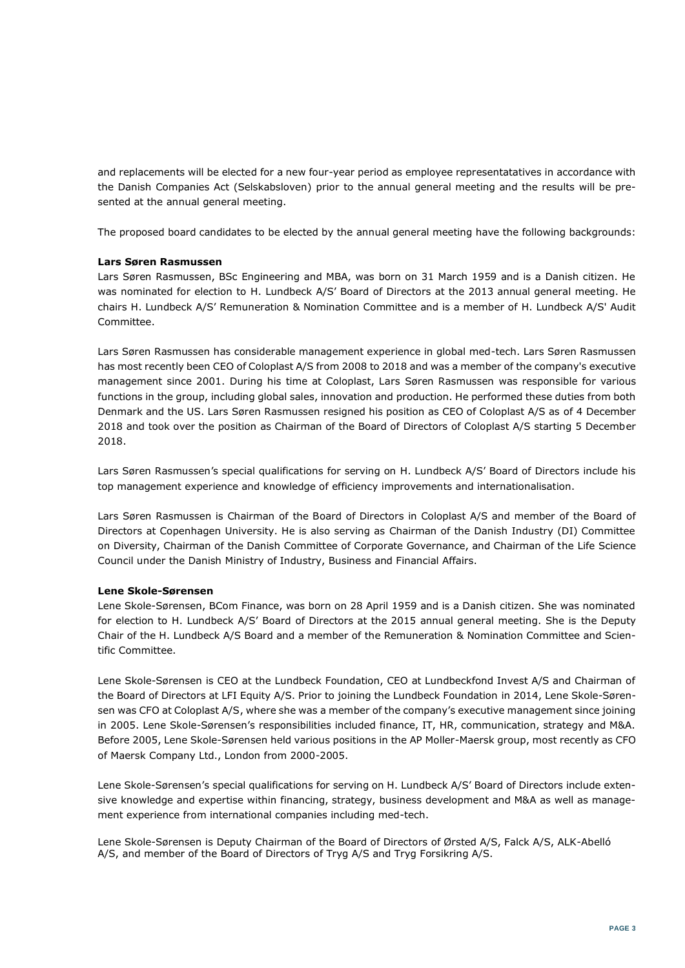and replacements will be elected for a new four-year period as employee representatatives in accordance with the Danish Companies Act (Selskabsloven) prior to the annual general meeting and the results will be presented at the annual general meeting.

The proposed board candidates to be elected by the annual general meeting have the following backgrounds:

## **Lars Søren Rasmussen**

Lars Søren Rasmussen, BSc Engineering and MBA, was born on 31 March 1959 and is a Danish citizen. He was nominated for election to H. Lundbeck A/S' Board of Directors at the 2013 annual general meeting. He chairs H. Lundbeck A/S' Remuneration & Nomination Committee and is a member of H. Lundbeck A/S' Audit Committee.

Lars Søren Rasmussen has considerable management experience in global med-tech. Lars Søren Rasmussen has most recently been CEO of Coloplast A/S from 2008 to 2018 and was a member of the company's executive management since 2001. During his time at Coloplast, Lars Søren Rasmussen was responsible for various functions in the group, including global sales, innovation and production. He performed these duties from both Denmark and the US. Lars Søren Rasmussen resigned his position as CEO of Coloplast A/S as of 4 December 2018 and took over the position as Chairman of the Board of Directors of Coloplast A/S starting 5 December 2018.

Lars Søren Rasmussen's special qualifications for serving on H. Lundbeck A/S' Board of Directors include his top management experience and knowledge of efficiency improvements and internationalisation.

Lars Søren Rasmussen is Chairman of the Board of Directors in Coloplast A/S and member of the Board of Directors at Copenhagen University. He is also serving as Chairman of the Danish Industry (DI) Committee on Diversity, Chairman of the Danish Committee of Corporate Governance, and Chairman of the Life Science Council under the Danish Ministry of Industry, Business and Financial Affairs.

## **Lene Skole-Sørensen**

Lene Skole-Sørensen, BCom Finance, was born on 28 April 1959 and is a Danish citizen. She was nominated for election to H. Lundbeck A/S' Board of Directors at the 2015 annual general meeting. She is the Deputy Chair of the H. Lundbeck A/S Board and a member of the Remuneration & Nomination Committee and Scientific Committee.

Lene Skole-Sørensen is CEO at the Lundbeck Foundation, CEO at Lundbeckfond Invest A/S and Chairman of the Board of Directors at LFI Equity A/S. Prior to joining the Lundbeck Foundation in 2014, Lene Skole-Sørensen was CFO at Coloplast A/S, where she was a member of the company's executive management since joining in 2005. Lene Skole-Sørensen's responsibilities included finance, IT, HR, communication, strategy and M&A. Before 2005, Lene Skole-Sørensen held various positions in the AP Moller-Maersk group, most recently as CFO of Maersk Company Ltd., London from 2000-2005.

Lene Skole-Sørensen's special qualifications for serving on H. Lundbeck A/S' Board of Directors include extensive knowledge and expertise within financing, strategy, business development and M&A as well as management experience from international companies including med-tech.

Lene Skole-Sørensen is Deputy Chairman of the Board of Directors of Ørsted A/S, Falck A/S, ALK-Abelló A/S, and member of the Board of Directors of Tryg A/S and Tryg Forsikring A/S.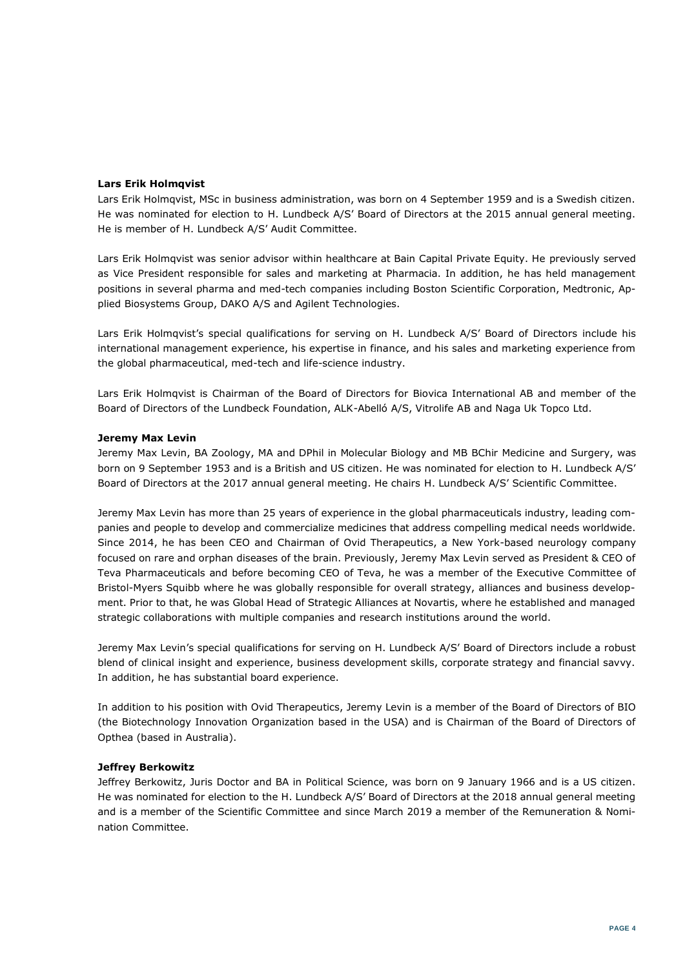### **Lars Erik Holmqvist**

Lars Erik Holmqvist, MSc in business administration, was born on 4 September 1959 and is a Swedish citizen. He was nominated for election to H. Lundbeck A/S' Board of Directors at the 2015 annual general meeting. He is member of H. Lundbeck A/S' Audit Committee.

Lars Erik Holmqvist was senior advisor within healthcare at Bain Capital Private Equity. He previously served as Vice President responsible for sales and marketing at Pharmacia. In addition, he has held management positions in several pharma and med-tech companies including Boston Scientific Corporation, Medtronic, Applied Biosystems Group, DAKO A/S and Agilent Technologies.

Lars Erik Holmqvist's special qualifications for serving on H. Lundbeck A/S' Board of Directors include his international management experience, his expertise in finance, and his sales and marketing experience from the global pharmaceutical, med-tech and life-science industry.

Lars Erik Holmqvist is Chairman of the Board of Directors for Biovica International AB and member of the Board of Directors of the Lundbeck Foundation, ALK-Abelló A/S, Vitrolife AB and Naga Uk Topco Ltd.

### **Jeremy Max Levin**

Jeremy Max Levin, BA Zoology, MA and DPhil in Molecular Biology and MB BChir Medicine and Surgery, was born on 9 September 1953 and is a British and US citizen. He was nominated for election to H. Lundbeck A/S' Board of Directors at the 2017 annual general meeting. He chairs H. Lundbeck A/S' Scientific Committee.

Jeremy Max Levin has more than 25 years of experience in the global pharmaceuticals industry, leading companies and people to develop and commercialize medicines that address compelling medical needs worldwide. Since 2014, he has been CEO and Chairman of Ovid Therapeutics, a New York-based neurology company focused on rare and orphan diseases of the brain. Previously, Jeremy Max Levin served as President & CEO of Teva Pharmaceuticals and before becoming CEO of Teva, he was a member of the Executive Committee of Bristol-Myers Squibb where he was globally responsible for overall strategy, alliances and business development. Prior to that, he was Global Head of Strategic Alliances at Novartis, where he established and managed strategic collaborations with multiple companies and research institutions around the world.

Jeremy Max Levin's special qualifications for serving on H. Lundbeck A/S' Board of Directors include a robust blend of clinical insight and experience, business development skills, corporate strategy and financial savvy. In addition, he has substantial board experience.

In addition to his position with Ovid Therapeutics, Jeremy Levin is a member of the Board of Directors of BIO (the Biotechnology Innovation Organization based in the USA) and is Chairman of the Board of Directors of Opthea (based in Australia).

## **Jeffrey Berkowitz**

Jeffrey Berkowitz, Juris Doctor and BA in Political Science, was born on 9 January 1966 and is a US citizen. He was nominated for election to the H. Lundbeck A/S' Board of Directors at the 2018 annual general meeting and is a member of the Scientific Committee and since March 2019 a member of the Remuneration & Nomination Committee.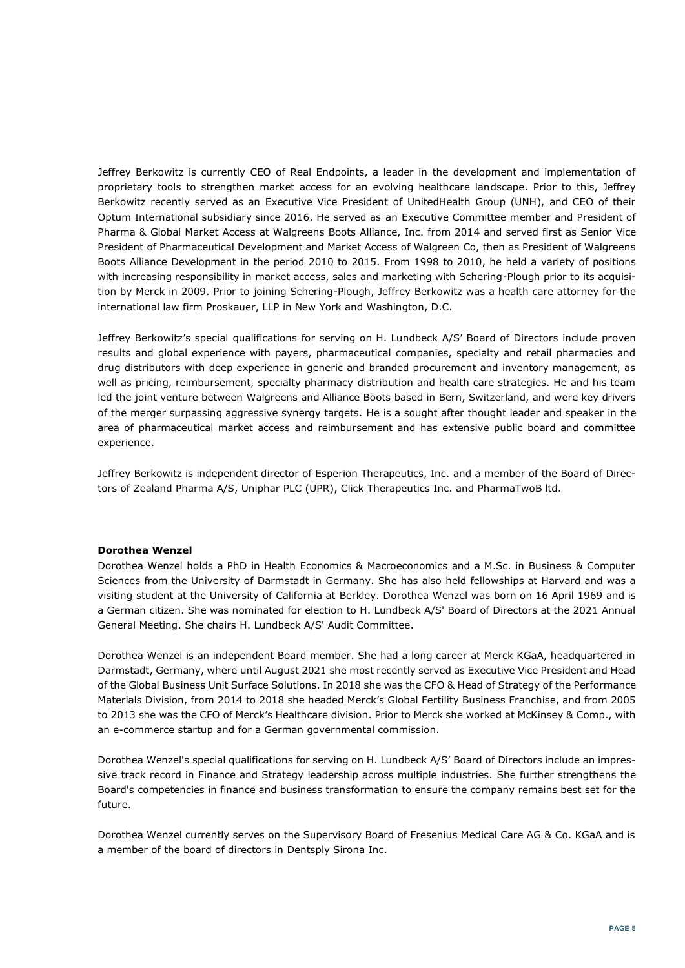Jeffrey Berkowitz is currently CEO of Real Endpoints, a leader in the development and implementation of proprietary tools to strengthen market access for an evolving healthcare landscape. Prior to this, Jeffrey Berkowitz recently served as an Executive Vice President of UnitedHealth Group (UNH), and CEO of their Optum International subsidiary since 2016. He served as an Executive Committee member and President of Pharma & Global Market Access at Walgreens Boots Alliance, Inc. from 2014 and served first as Senior Vice President of Pharmaceutical Development and Market Access of Walgreen Co, then as President of Walgreens Boots Alliance Development in the period 2010 to 2015. From 1998 to 2010, he held a variety of positions with increasing responsibility in market access, sales and marketing with Schering-Plough prior to its acquisition by Merck in 2009. Prior to joining Schering-Plough, Jeffrey Berkowitz was a health care attorney for the international law firm Proskauer, LLP in New York and Washington, D.C.

Jeffrey Berkowitz's special qualifications for serving on H. Lundbeck A/S' Board of Directors include proven results and global experience with payers, pharmaceutical companies, specialty and retail pharmacies and drug distributors with deep experience in generic and branded procurement and inventory management, as well as pricing, reimbursement, specialty pharmacy distribution and health care strategies. He and his team led the joint venture between Walgreens and Alliance Boots based in Bern, Switzerland, and were key drivers of the merger surpassing aggressive synergy targets. He is a sought after thought leader and speaker in the area of pharmaceutical market access and reimbursement and has extensive public board and committee experience.

Jeffrey Berkowitz is independent director of Esperion Therapeutics, Inc. and a member of the Board of Directors of Zealand Pharma A/S, Uniphar PLC (UPR), Click Therapeutics Inc. and PharmaTwoB ltd.

### **Dorothea Wenzel**

Dorothea Wenzel holds a PhD in Health Economics & Macroeconomics and a M.Sc. in Business & Computer Sciences from the University of Darmstadt in Germany. She has also held fellowships at Harvard and was a visiting student at the University of California at Berkley. Dorothea Wenzel was born on 16 April 1969 and is a German citizen. She was nominated for election to H. Lundbeck A/S' Board of Directors at the 2021 Annual General Meeting. She chairs H. Lundbeck A/S' Audit Committee.

Dorothea Wenzel is an independent Board member. She had a long career at Merck KGaA, headquartered in Darmstadt, Germany, where until August 2021 she most recently served as Executive Vice President and Head of the Global Business Unit Surface Solutions. In 2018 she was the CFO & Head of Strategy of the Performance Materials Division, from 2014 to 2018 she headed Merck's Global Fertility Business Franchise, and from 2005 to 2013 she was the CFO of Merck's Healthcare division. Prior to Merck she worked at McKinsey & Comp., with an e-commerce startup and for a German governmental commission.

Dorothea Wenzel's special qualifications for serving on H. Lundbeck A/S' Board of Directors include an impressive track record in Finance and Strategy leadership across multiple industries. She further strengthens the Board's competencies in finance and business transformation to ensure the company remains best set for the future.

Dorothea Wenzel currently serves on the Supervisory Board of Fresenius Medical Care AG & Co. KGaA and is a member of the board of directors in Dentsply Sirona Inc.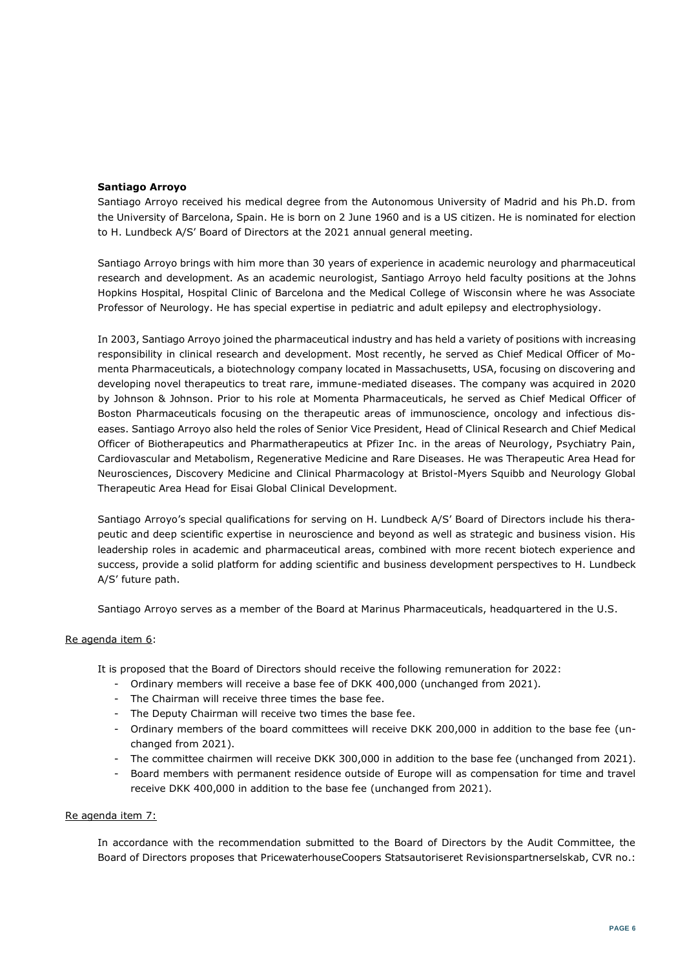### **Santiago Arroyo**

Santiago Arroyo received his medical degree from the Autonomous University of Madrid and his Ph.D. from the University of Barcelona, Spain. He is born on 2 June 1960 and is a US citizen. He is nominated for election to H. Lundbeck A/S' Board of Directors at the 2021 annual general meeting.

Santiago Arroyo brings with him more than 30 years of experience in academic neurology and pharmaceutical research and development. As an academic neurologist, Santiago Arroyo held faculty positions at the Johns Hopkins Hospital, Hospital Clinic of Barcelona and the Medical College of Wisconsin where he was Associate Professor of Neurology. He has special expertise in pediatric and adult epilepsy and electrophysiology.

In 2003, Santiago Arroyo joined the pharmaceutical industry and has held a variety of positions with increasing responsibility in clinical research and development. Most recently, he served as Chief Medical Officer of Momenta Pharmaceuticals, a biotechnology company located in Massachusetts, USA, focusing on discovering and developing novel therapeutics to treat rare, immune-mediated diseases. The company was acquired in 2020 by Johnson & Johnson. Prior to his role at Momenta Pharmaceuticals, he served as Chief Medical Officer of Boston Pharmaceuticals focusing on the therapeutic areas of immunoscience, oncology and infectious diseases. Santiago Arroyo also held the roles of Senior Vice President, Head of Clinical Research and Chief Medical Officer of Biotherapeutics and Pharmatherapeutics at Pfizer Inc. in the areas of Neurology, Psychiatry Pain, Cardiovascular and Metabolism, Regenerative Medicine and Rare Diseases. He was Therapeutic Area Head for Neurosciences, Discovery Medicine and Clinical Pharmacology at Bristol-Myers Squibb and Neurology Global Therapeutic Area Head for Eisai Global Clinical Development.

Santiago Arroyo's special qualifications for serving on H. Lundbeck A/S' Board of Directors include his therapeutic and deep scientific expertise in neuroscience and beyond as well as strategic and business vision. His leadership roles in academic and pharmaceutical areas, combined with more recent biotech experience and success, provide a solid platform for adding scientific and business development perspectives to H. Lundbeck A/S' future path.

Santiago Arroyo serves as a member of the Board at Marinus Pharmaceuticals, headquartered in the U.S.

### Re agenda item 6:

It is proposed that the Board of Directors should receive the following remuneration for 2022:

- Ordinary members will receive a base fee of DKK 400,000 (unchanged from 2021).
- The Chairman will receive three times the base fee.
- The Deputy Chairman will receive two times the base fee.
- Ordinary members of the board committees will receive DKK 200,000 in addition to the base fee (unchanged from 2021).
- The committee chairmen will receive DKK 300,000 in addition to the base fee (unchanged from 2021).
- Board members with permanent residence outside of Europe will as compensation for time and travel receive DKK 400,000 in addition to the base fee (unchanged from 2021).

### Re agenda item 7:

In accordance with the recommendation submitted to the Board of Directors by the Audit Committee, the Board of Directors proposes that PricewaterhouseCoopers Statsautoriseret Revisionspartnerselskab, CVR no.: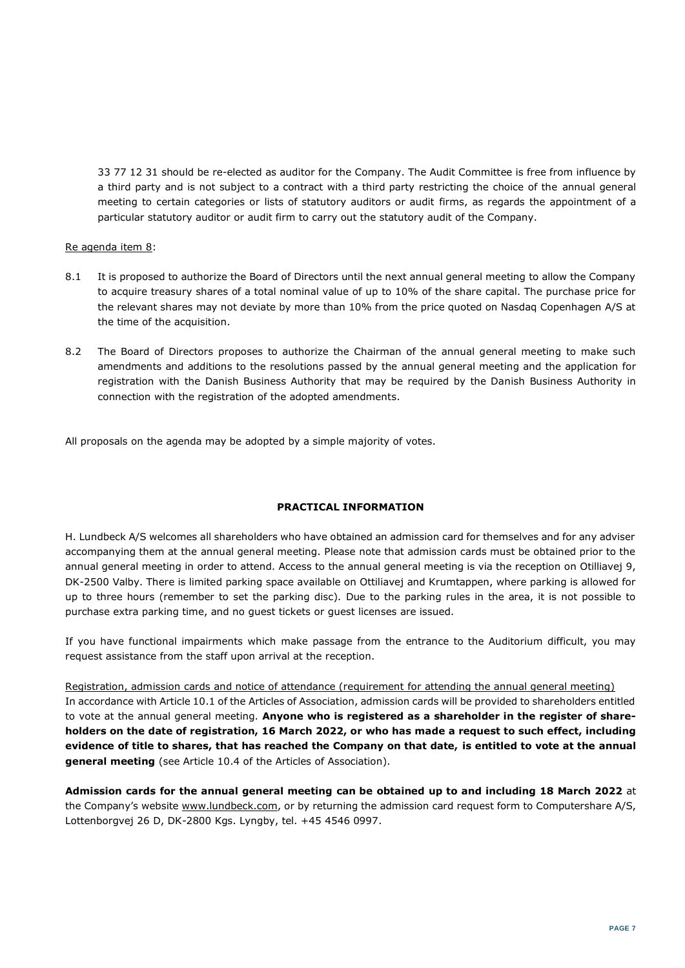33 77 12 31 should be re-elected as auditor for the Company. The Audit Committee is free from influence by a third party and is not subject to a contract with a third party restricting the choice of the annual general meeting to certain categories or lists of statutory auditors or audit firms, as regards the appointment of a particular statutory auditor or audit firm to carry out the statutory audit of the Company.

## Re agenda item 8:

- 8.1 It is proposed to authorize the Board of Directors until the next annual general meeting to allow the Company to acquire treasury shares of a total nominal value of up to 10% of the share capital. The purchase price for the relevant shares may not deviate by more than 10% from the price quoted on Nasdaq Copenhagen A/S at the time of the acquisition.
- 8.2 The Board of Directors proposes to authorize the Chairman of the annual general meeting to make such amendments and additions to the resolutions passed by the annual general meeting and the application for registration with the Danish Business Authority that may be required by the Danish Business Authority in connection with the registration of the adopted amendments.

All proposals on the agenda may be adopted by a simple majority of votes.

## **PRACTICAL INFORMATION**

H. Lundbeck A/S welcomes all shareholders who have obtained an admission card for themselves and for any adviser accompanying them at the annual general meeting. Please note that admission cards must be obtained prior to the annual general meeting in order to attend. Access to the annual general meeting is via the reception on Otilliavej 9, DK-2500 Valby. There is limited parking space available on Ottiliavej and Krumtappen, where parking is allowed for up to three hours (remember to set the parking disc). Due to the parking rules in the area, it is not possible to purchase extra parking time, and no guest tickets or guest licenses are issued.

If you have functional impairments which make passage from the entrance to the Auditorium difficult, you may request assistance from the staff upon arrival at the reception.

Registration, admission cards and notice of attendance (requirement for attending the annual general meeting) In accordance with Article 10.1 of the Articles of Association, admission cards will be provided to shareholders entitled to vote at the annual general meeting. **Anyone who is registered as a shareholder in the register of shareholders on the date of registration, 16 March 2022, or who has made a request to such effect, including evidence of title to shares, that has reached the Company on that date, is entitled to vote at the annual general meeting** (see Article 10.4 of the Articles of Association).

**Admission cards for the annual general meeting can be obtained up to and including 18 March 2022** at the Company's website www.lundbeck.com, or by returning the admission card request form to Computershare A/S, Lottenborgvej 26 D, DK-2800 Kgs. Lyngby, tel. +45 4546 0997.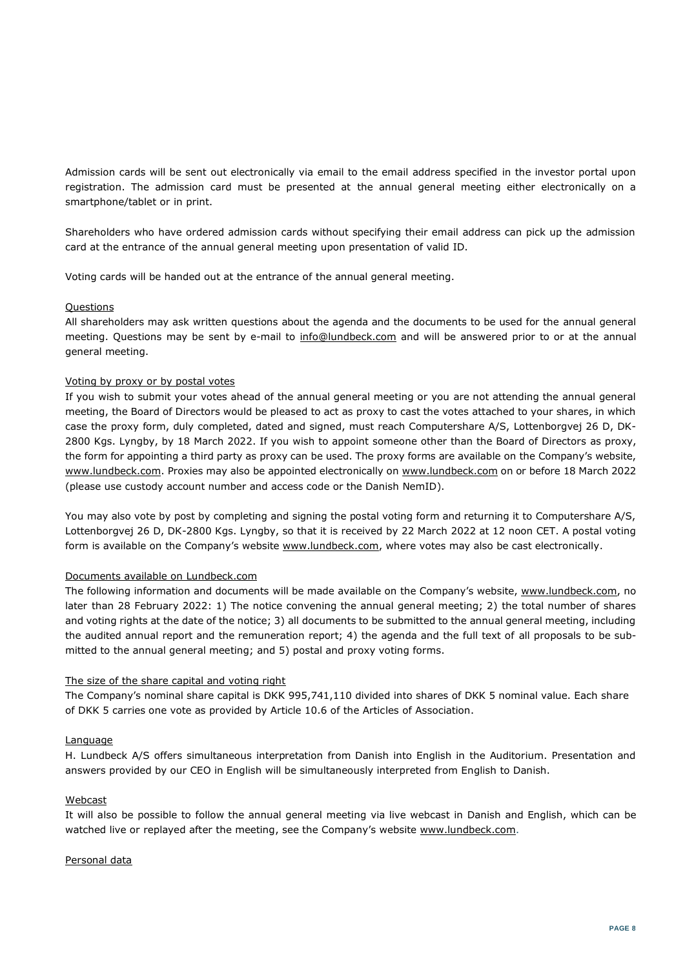Admission cards will be sent out electronically via email to the email address specified in the investor portal upon registration. The admission card must be presented at the annual general meeting either electronically on a smartphone/tablet or in print.

Shareholders who have ordered admission cards without specifying their email address can pick up the admission card at the entrance of the annual general meeting upon presentation of valid ID.

Voting cards will be handed out at the entrance of the annual general meeting.

### **Questions**

All shareholders may ask written questions about the agenda and the documents to be used for the annual general meeting. Questions may be sent by e-mail to info@lundbeck.com and will be answered prior to or at the annual general meeting.

## Voting by proxy or by postal votes

If you wish to submit your votes ahead of the annual general meeting or you are not attending the annual general meeting, the Board of Directors would be pleased to act as proxy to cast the votes attached to your shares, in which case the proxy form, duly completed, dated and signed, must reach Computershare A/S, Lottenborgvej 26 D, DK-2800 Kgs. Lyngby, by 18 March 2022. If you wish to appoint someone other than the Board of Directors as proxy, the form for appointing a third party as proxy can be used. The proxy forms are available on the Company's website, www.lundbeck.com. Proxies may also be appointed electronically on www.lundbeck.com on or before 18 March 2022 (please use custody account number and access code or the Danish NemID).

You may also vote by post by completing and signing the postal voting form and returning it to Computershare A/S, Lottenborgvej 26 D, DK-2800 Kgs. Lyngby, so that it is received by 22 March 2022 at 12 noon CET. A postal voting form is available on the Company's website www.lundbeck.com, where votes may also be cast electronically.

### Documents available on Lundbeck.com

The following information and documents will be made available on the Company's website, www.lundbeck.com, no later than 28 February 2022: 1) The notice convening the annual general meeting; 2) the total number of shares and voting rights at the date of the notice; 3) all documents to be submitted to the annual general meeting, including the audited annual report and the remuneration report; 4) the agenda and the full text of all proposals to be submitted to the annual general meeting; and 5) postal and proxy voting forms.

### The size of the share capital and voting right

The Company's nominal share capital is DKK 995,741,110 divided into shares of DKK 5 nominal value. Each share of DKK 5 carries one vote as provided by Article 10.6 of the Articles of Association.

### Language

H. Lundbeck A/S offers simultaneous interpretation from Danish into English in the Auditorium. Presentation and answers provided by our CEO in English will be simultaneously interpreted from English to Danish.

### Webcast

It will also be possible to follow the annual general meeting via live webcast in Danish and English, which can be watched live or replayed after the meeting, see the Company's website www.lundbeck.com.

### Personal data